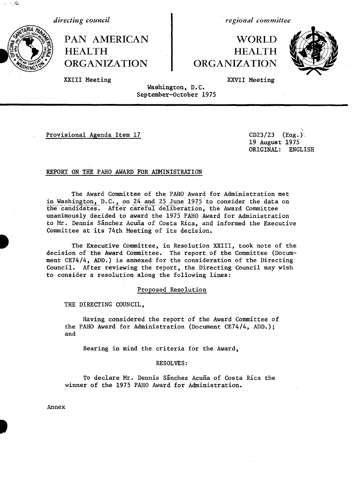*directing council*

*regional committee*

# 'WORLD HEALTH **ORGANIZATION**



XXIII Meeting

HEALTH

PAN AMERICAN

ORGANIZATION

XXVII Meeting

I \_ \_

Washington, D.C. September-October 1975

Provisional Agenda Item 17 CD23/23 (Eng.)

19 August 1975 ORIGINAL: ENGLISH

#### REPORT ON THE PAHO AWARD FOR ADMINISTRATION

The Award Committee of the PAHO Award for Administration met in Washington, D.C., on 24 and 25 June 1975 to consider the data on the candidates. After careful deliberation, the Award Committee unanimously decided to award the 1975 PAHO Award for Administration to Mr. Dennis Sanchez Acufia of Costa Rica, and informed the Executive Committee at its 74th Meeting of its decision.

The Executive Committee, in Resolution XXIII, took note of the decision of the Award Committee. The report of the Committee (Documment CE74/4, ADD.) is annexed for the consideration of the Directing Council. After reviewing the report, the Directing Council may wish to consider a resolution along the following lines:

#### Proposed Resolution

THE DIRECTING COUNCIL,

Having considered the report of the Award Committee of the PAHO Award for Administration (Document CE74/4, ADD.); and

Bearing in mind the criteria for the Award,

#### RESOLVES:

To declare Mr. Dennis Sanchez Acuña of Costa Rica the winner of the 1975 PAHO Award for Administration.

Annex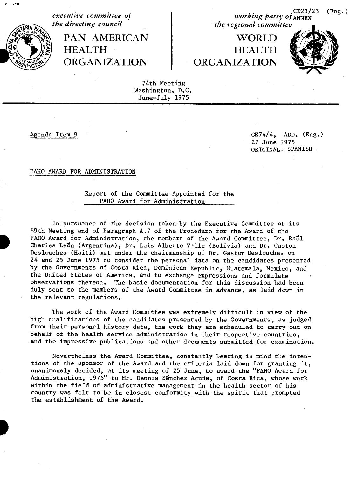executive committee of **the committee of** the executive committee of the executive committee of the executive committee  $\mathbf{a}$  (Eng.) *the regional committee* 

## PAN AMERICAN NORLD **HEALTH HEALTH ORGANIZATION ORGANIZATION**



74th Meeting Washington, D.C. June-July 1975

**t** l **,3**

Agenda Item 9 CE74/4, ADD. (Eng.) 27 June 1975 ORIGINAL: SPANISH

#### PAHO AWARD FOR ADMINISTRATION

### Report of the Committee Appointed for the PAHO Award for Administration

In pursuance of the decision taken by the Executive Committee at its 69th Meeting and of Paragraph A.7 of the Procedure for the Award of the PAHO Award for Administration, the members of the Award Committee, Dr. Raul Charles Leon (Argentina), Dr. Luis Alberto Valle (Bolivia) and Dr. Gaston. Deslouches (Haiti) met under the chairmanship of Dr. Gaston Deslouches on 24 and 25 June 1975 to consider the personal data on the candidates presented by the Governments of Costa Rica, Dominican Republic, Guatemala, Mexico, and the United States of America, and to exchange expressions and formulate observations thereon. The basic documentation for this discussion had been duly sent to the members of the Award Committee in advance, as laid down in the relevant regulations.

The work of the Award Committee was extremely difficult in view of the high qualifications of the candidates presented by the Governments, as judged from their personal history data, the work they are scheduled to carry out on behalf of the health service administration in their respective countries, and the impressive publications and other documents submitted for examination.

Nevertheless the Award Committee, constantly bearing in mind the intentions of the sponsor of the Award and the criteria laid down for granting it, unanimously decided, at its meeting of 25 June, to award the "PAHO Award for Administration, 1975" to Mr. Dennis Sanchez Acuña, of Costa Rica, whose work within the field of administrative management in the health sector of his country was felt to be in closest conformity with the spirit that prompted the establishment of the Award.